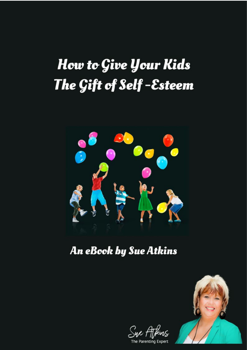

An eBook by Sue Atkins



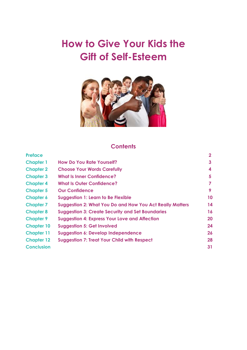

#### **Contents**

| <b>Preface</b>    |                                                                 | $\mathbf{2}$ |
|-------------------|-----------------------------------------------------------------|--------------|
| <b>Chapter 1</b>  | <b>How Do You Rate Yourself?</b>                                | 3            |
| <b>Chapter 2</b>  | <b>Choose Your Words Carefully</b>                              | 4            |
| <b>Chapter 3</b>  | <b>What Is Inner Confidence?</b>                                | 5            |
| <b>Chapter 4</b>  | <b>What Is Outer Confidence?</b>                                | 7            |
| <b>Chapter 5</b>  | <b>Our Confidence</b>                                           | 9            |
| <b>Chapter 6</b>  | <b>Suggestion 1: Learn to Be Flexible</b>                       | 10           |
| <b>Chapter 7</b>  | <b>Suggestion 2: What You Do and How You Act Really Matters</b> | 14           |
| <b>Chapter 8</b>  | <b>Suggestion 3: Create Security and Set Boundaries</b>         | 16           |
| <b>Chapter 9</b>  | <b>Suggestion 4: Express Your Love and Affection</b>            | 20           |
| <b>Chapter 10</b> | <b>Suggestion 5: Get Involved</b>                               | 24           |
| <b>Chapter 11</b> | <b>Suggestion 6: Develop Independence</b>                       | 26           |
| <b>Chapter 12</b> | <b>Suggestion 7: Treat Your Child with Respect</b>              | 28           |
| <b>Conclusion</b> |                                                                 | 31           |
|                   |                                                                 |              |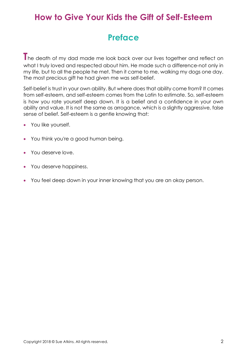# **Preface**

**T**he death of my dad made me look back over our lives together and reflect on what I truly loved and respected about him. He made such a difference-not only in my life, but to all the people he met. Then it came to me, walking my dogs one day. The most precious gift he had given me was self-belief.

Self-belief is trust in your own ability. But where does that ability come from? It comes from self-esteem, and self-esteem comes from the Latin to estimate. So, self-esteem is how you rate yourself deep down. It is a belief and a confidence in your own ability and value. It is not the same as arrogance, which is a slightly aggressive, false sense of belief. Self-esteem is a gentle knowing that:

- You like yourself.
- You think you're a good human being.
- You deserve love.
- You deserve happiness.
- You feel deep down in your inner knowing that you are an okay person.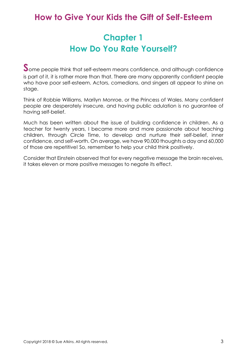# **Chapter 1 How Do You Rate Yourself?**

**S**ome people think that self-esteem means confidence, and although confidence is part of it, it is rather more than that. There are many apparently confident people who have poor self-esteem. Actors, comedians, and singers all appear to shine on stage.

Think of Robbie Williams, Marilyn Monroe, or the Princess of Wales. Many confident people are desperately insecure, and having public adulation is no guarantee of having self-belief.

Much has been written about the issue of building confidence in children. As a teacher for twenty years, I became more and more passionate about teaching children, through Circle Time, to develop and nurture their self-belief, inner confidence, and self-worth. On average, we have 90,000 thoughts a day and 60,000 of those are repetitive! So, remember to help your child think positively.

Consider that Einstein observed that for every negative message the brain receives, it takes eleven or more positive messages to negate its effect.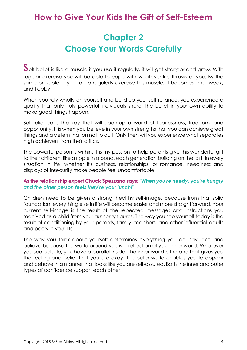# **Chapter 2 Choose Your Words Carefully**

**S**elf-belief is like a muscle-if you use it regularly, it will get stronger and grow. With regular exercise you will be able to cope with whatever life throws at you. By the same principle, if you fail to regularly exercise this muscle, it becomes limp, weak, and flabby.

When you rely wholly on yourself and build up your self-reliance, you experience a quality that only truly powerful individuals share: the belief in your own ability to make good things happen.

Self-reliance is the key that will open-up a world of fearlessness, freedom, and opportunity. It is when you believe in your own strengths that you can achieve great things and a determination not to quit. Only then will you experience what separates high achievers from their critics.

The powerful person is within. It is my passion to help parents give this wonderful gift to their children, like a ripple in a pond, each generation building on the last. In every situation in life, whether it's business, relationships, or romance, neediness and displays of insecurity make people feel uncomfortable.

#### **As the relationship expert Chuck Spezzano says***: "When you're needy, you're hungry and the other person feels they're your lunch!"*

Children need to be given a strong, healthy self-image, because from that solid foundation, everything else in life will become easier and more straightforward. Your current self-image is the result of the repeated messages and instructions you received as a child from your authority figures. The way you see yourself today is the result of conditioning by your parents, family, teachers, and other influential adults and peers in your life.

The way you think about yourself determines everything you do, say, act, and believe because the world around you is a reflection of your inner world. Whatever you see outside, you have a parallel inside. The inner world is the one that gives you the feeling and belief that you are okay. The outer world enables you to appear and behave in a manner that looks like you are self-assured. Both the inner and outer types of confidence support each other.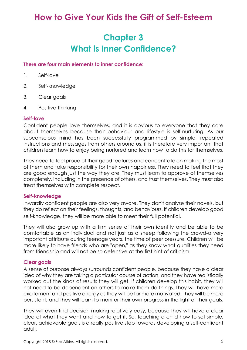# **Chapter 3 What is Inner Confidence?**

#### **There are four main elements to inner confidence:**

- 1. Self-love
- 2. Self-knowledge
- 3. Clear goals
- 4. Positive thinking

#### **Self-love**

Confident people love themselves, and it is obvious to everyone that they care about themselves because their behaviour and lifestyle is self-nurturing. As our subconscious mind has been successfully programmed by simple, repeated instructions and messages from others around us, it is therefore very important that children learn how to enjoy being nurtured and learn how to do this for themselves.

They need to feel proud of their good features and concentrate on making the most of them and take responsibility for their own happiness. They need to feel that they are good enough just the way they are. They must learn to approve of themselves completely, including in the presence of others, and trust themselves. They must also treat themselves with complete respect.

#### **Self-knowledge**

Inwardly confident people are also very aware. They don't analyse their navels, but they do reflect on their feelings, thoughts, and behaviours. If children develop good self-knowledge, they will be more able to meet their full potential.

They will also grow up with a firm sense of their own identity and be able to be comfortable as an individual and not just as a sheep following the crowd-a very important attribute during teenage years, the time of peer pressure. Children will be more likely to have friends who are "open," as they know what qualities they need from friendship and will not be so defensive at the first hint of criticism.

#### **Clear goals**

A sense of purpose always surrounds confident people, because they have a clear idea of why they are taking a particular course of action, and they have realistically worked out the kinds of results they will get. If children develop this habit, they will not need to be dependent on others to make them do things. They will have more excitement and positive energy as they will be far more motivated. They will be more persistent, and they will learn to monitor their own progress in the light of their goals.

They will even find decision making relatively easy, because they will have a clear idea of what they want and how to get it. So, teaching a child how to set simple, clear, achievable goals is a really positive step towards developing a self-confident adult.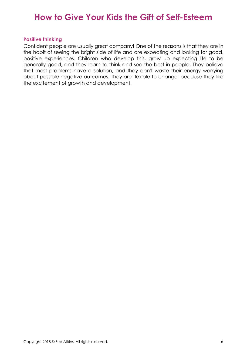#### **Positive thinking**

Confident people are usually great company! One of the reasons is that they are in the habit of seeing the bright side of life and are expecting and looking for good, positive experiences. Children who develop this, grow up expecting life to be generally good, and they learn to think and see the best in people. They believe that most problems have a solution, and they don't waste their energy worrying about possible negative outcomes. They are flexible to change, because they like the excitement of growth and development.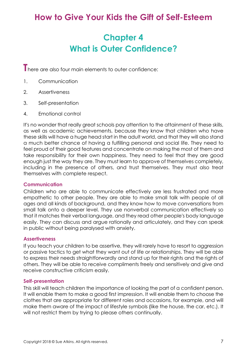# **Chapter 4 What is Outer Confidence?**

**T**here are also four main elements to outer confidence:

- 1. Communication
- 2. Assertiveness
- 3. Self-presentation
- 4. Emotional control

It's no wonder that really great schools pay attention to the attainment of these skills, as well as academic achievements, because they know that children who have these skills will have a huge head start in the adult world, and that they will also stand a much better chance of having a fulfilling personal and social life. They need to feel proud of their good features and concentrate on making the most of them and take responsibility for their own happiness. They need to feel that they are good enough just the way they are. They must learn to approve of themselves completely, including in the presence of others, and trust themselves. They must also treat themselves with complete respect.

#### **Communication**

Children who are able to communicate effectively are less frustrated and more empathetic to other people. They are able to make small talk with people of all ages and all kinds of background, and they know how to move conversations from small talk onto a deeper level. They use nonverbal communication effectively so that it matches their verbal language, and they read other people's body language easily. They can discuss and argue rationally and articulately, and they can speak in public without being paralysed with anxiety.

#### **Assertiveness**

If you teach your children to be assertive, they will rarely have to resort to aggression or passive tactics to get what they want out of life or relationships. They will be able to express their needs straightforwardly and stand up for their rights and the rights of others. They will be able to receive compliments freely and sensitively and give and receive constructive criticism easily.

#### **Self-presentation**

This skill will teach children the importance of looking the part of a confident person. It will enable them to make a good first impression. It will enable them to choose the clothes that are appropriate for different roles and occasions, for example, and will make them aware of the impact of lifestyle symbols {like the house, the car, etc.). It will not restrict them by trying to please others continually.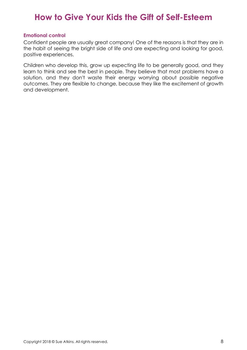#### **Emotional control**

Confident people are usually great company! One of the reasons is that they are in the habit of seeing the bright side of life and are expecting and looking for good, positive experiences.

Children who develop this, grow up expecting life to be generally good, and they learn to think and see the best in people. They believe that most problems have a solution, and they don't waste their energy worrying about possible negative outcomes. They are flexible to change, because they like the excitement of growth and development.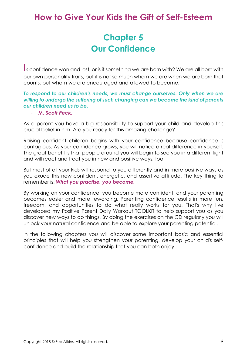# **Chapter 5 Our Confidence**

**I**s confidence won and lost, or is it something we are born with? We are all born with our own personality traits, but it is not so much whom we are when we are born that counts, but whom we are encouraged and allowed to become.

#### *To respond to our children's needs, we must change ourselves. Only when we are willing to undergo the suffering of such changing can we become the kind of parents our children need us to be.*

#### - *M. Scott Peck.*

As a parent you have a big responsibility to support your child and develop this crucial belief in him. Are you ready for this amazing challenge?

Raising confident children begins with your confidence because confidence is contagious. As your confidence grows, you will notice a real difference in yourself. The great benefit is that people around you will begin to see you in a different light and will react and treat you in new and positive ways, too.

But most of all your kids will respond to you differently and in more positive ways as you exude this new confident, energetic, and assertive attitude. The key thing to remember is: *What you practise, you become.*

By working on your confidence, you become more confident, and your parenting becomes easier and more rewarding. Parenting confidence results in more fun, freedom, and opportunities to do what really works for you. That's why I've developed my Positive Parent Daily Workout TOOLKIT to help support you as you discover new ways to do things. By doing the exercises on the CD regularly you will unlock your natural confidence and be able to explore your parenting potential.

In the following chapters you will discover some important basic and essential principles that will help you strengthen your parenting, develop your child's selfconfidence and build the relationship that you can both enjoy.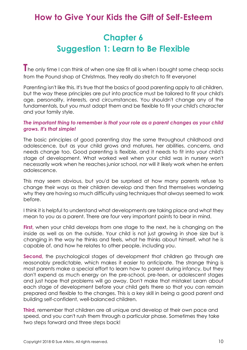# **Chapter 6 Suggestion 1: Learn to Be Flexible**

The only time I can think of when one size fit all is when I bought some cheap socks from the Pound shop at Christmas. They really do stretch to fit everyone!

Parenting isn't like this. It's true that the basics of good parenting apply to all children, but the way these principles are put into practice must be tailored to fit your child's age, personality, interests, and circumstances. You shouldn't change any of the fundamentals, but you must adapt them and be flexible to fit your child's character and your family style.

#### *The important thing to remember is that your role as a parent changes as your child grows. It's that simple!*

The basic principles of good parenting stay the same throughout childhood and adolescence, but as your child grows and matures, her abilities, concerns, and needs change too. Good parenting is flexible, and it needs to fit into your child's stage of development. What worked well when your child was in nursery won't necessarily work when he reaches junior school, nor will it likely work when he enters adolescence.

This may seem obvious, but you'd be surprised at how many parents refuse to change their ways as their children develop and then find themselves wondering why they are having so much difficulty using techniques that always seemed to work before.

I think it is helpful to understand what developments are taking place and what they mean to you as a parent. There are four very important points to bear in mind.

**First,** when your child develops from one stage to the next, he is changing on the inside as well as on the outside. Your child is not just growing in shoe size but is changing in the way he thinks and feels, what he thinks about himself, what he is capable of, and how he relates to other people, including you.

**Second,** the psychological stages of development that children go through are reasonably predictable, which makes it easier to anticipate. The strange thing is most parents make a special effort to learn how to parent during infancy, but they don't expend as much energy on the pre-school, pre-teen, or adolescent stages and just hope that problems will go away. Don't make that mistake! Learn about each stage of development before your child gets there so that you can remain prepared and flexible to the changes. This is a key skill in being a good parent and building self-confident, well-balanced children.

**Third,** remember that children are all unique and develop at their own pace and speed, and you can't rush them through a particular phase. Sometimes they take two steps forward and three steps back!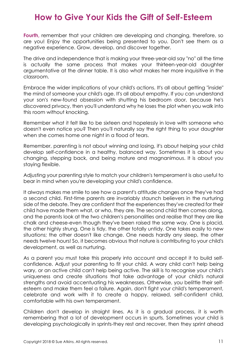**Fourth,** remember that your children are developing and changing, therefore, so are you! Enjoy the opportunities being presented to you. Don't see them as a negative experience. Grow, develop, and discover together.

The drive and independence that is making your three-year-old say "no" all the time is actually the same process that makes your thirteen-year-old daughter argumentative at the dinner table. It is also what makes her more inquisitive in the classroom.

Embrace the wider implications of your child's actions. It's all about getting "inside" the mind of someone your child's age. It's all about empathy. If you can understand your son's new-found obsession with shutting his bedroom door, because he's discovered privacy, then you'll understand why he loses the plot when you walk into this room without knocking.

Remember what it felt like to be sixteen and hopelessly in love with someone who doesn't even notice you? Then you'll naturally say the right thing to your daughter when she comes home one night in a flood of tears.

Remember, parenting is not about winning and losing, it's about helping your child develop self-confidence in a healthy, balanced way. Sometimes it is about you changing, stepping back, and being mature and magnanimous. It is about you staying flexible.

Adjusting your parenting style to match your children's temperament is also useful to bear in mind when you're developing your child's confidence.

It always makes me smile to see how a parent's attitude changes once they've had a second child. First-time parents are invariably staunch believers in the nurturing side of the debate. They are confident that the experiences they've created for their child have made them what, or who, they are. The second child then comes along, and the parents look at the two children's personalities and realise that they are like chalk and cheese-even though they've been raised the same way. One is placid, the other highly strung. One is tidy, the other totally untidy. One takes easily to new situations; the other doesn't like change. One needs hardly any sleep, the other needs twelve hours! So, it becomes obvious that nature is contributing to your child's development, as well as nurturing.

As a parent you must take this properly into account and accept it to build selfconfidence. Adjust your parenting to fit your child. A wary child can't help being wary, or an active child can't help being active. The skill is to recognise your child's uniqueness and create situations that take advantage of your child's natural strengths and avoid accentuating his weaknesses. Otherwise, you belittle their selfesteem and make them feel a failure. Again, don't fight your child's temperament, celebrate and work with it to create a happy, relaxed, self-confident child, comfortable with his own temperament.

Children don't develop in straight lines. As it is a gradual process, it is worth remembering that a lot of development occurs in spurts. Sometimes your child is developing psychologically in sprints-they rest and recover, then they sprint ahead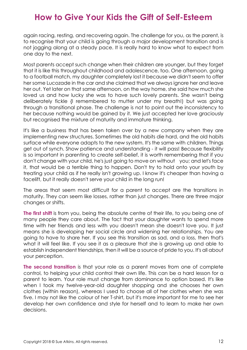again racing, resting, and recovering again. The challenge for you, as the parent, is to recognise that your child is going through a major development transition and is not jogging along at a steady pace. It is really hard to know what to expect from one day to the next.

Most parents accept such change when their children are younger, but they forget that it is like this throughout childhood and adolescence, too. One afternoon, going to a football match, my daughter completely lost it because we didn't seem to offer her some Lucozade in the car and she claimed that we always ignore her and leave her out. Yet later on that same afternoon, on the way home, she said how much she loved us and how lucky she was to have such lovely parents. She wasn't being deliberately fickle {I remembered to mutter under my breath!) but was going through a transitional phase. The challenge is not to point out the inconsistency to her because nothing would be gained by it. We just accepted her love graciously but recognised the mixture of maturity and immature thinking.

It's like a business that has been taken over by a new company when they are implementing new structures. Sometimes the old habits die hard, and the old habits surface while everyone adapts to the new system. It's the same with children. Things get out of synch. Show patience and understanding - it will pass! Because flexibility is so important in parenting to create self-belief, it is worth remembering that if you don't change with your child, he's just going to move on without you; and let's face it, that would be a terrible thing to happen. Don't try to hold onto your youth by treating your child as if he really isn't growing up. I know it's cheaper than having a facelift, but it really doesn't serve your child in the long run!

The areas that seem most difficult for a parent to accept are the transitions in maturity. They can seem like losses, rather than just changes. There are three major changes or shifts.

**The first shift** is from you, being the absolute centre of their life, to you being one of many people they care about. The fact that your daughter wants to spend more time with her friends and less with you doesn't mean she doesn't love you. It just means she is developing her social circle and widening her relationships. You are going to have to share her. If you see this transition as sad, and a loss, then that's what it will feel like. If you see it as a pleasure that she is growing up and able to establish independent friendships, then it will be a source of pride to you. It's all about your perception.

**The second transition** is that your role as a parent moves from one of complete control, to helping your child control their own life. This can be a hard lesson for a parent to learn. Your role must change from dominance to option based. It's like when I took my twelve-year-old daughter shopping and she chooses her own clothes (within reason), whereas I used to choose all of her clothes when she was five. I may not like the colour of her T-shirt, but it's more important for me to see her develop her own confidence and style for herself and to learn to make her own decisions.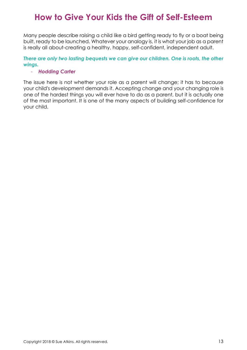Many people describe raising a child like a bird getting ready to fly or a boat being built, ready to be launched. Whatever your analogy is, it is what your job as a parent is really all about-creating a healthy, happy, self-confident, independent adult.

*There are only two lasting bequests we can give our children. One is roots, the other wings.*

#### - *Hodding Carter*

The issue here is not whether your role as a parent will change; it has to because your child's development demands it. Accepting change and your changing role is one of the hardest things you will ever have to do as a parent, but it is actually one of the most important. It is one of the many aspects of building self-confidence for your child.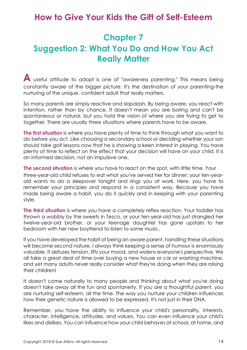# **Chapter 7 Suggestion 2: What You Do and How You Act Really Matter**

**A** useful attitude to adopt is one of "awareness parenting." This means being constantly aware of the bigger picture. It's the destination of your parenting-the nurturing of the unique, confident adult that really matters.

So many parents are simply reactive and slapdash. By being aware, you react with intention, rather than by chance. It doesn't mean you are boring and can't be spontaneous or natural, but you hold the vision of where you are trying to get to together. There are usually three situations where parents have to be aware.

**The first situation** is where you have plenty of time to think through what you want to do before you act. Like choosing a secondary school or deciding whether your son should take golf lessons now that he is showing a keen interest in playing. You have plenty of time to reflect on the effect that your decision will have on your child. It is an informed decision, not an impulsive one.

**The second situation** is where you have to react on the spot, with little time. Your three-year-old child refuses to eat what you've served her for dinner; your ten-yearold wants to do a sleepover tonight and rings you at work. Here, you have to remember your principles and respond in a consistent way. Because you have made being aware a habit, you do it quickly and in keeping with your parenting style.

**The third situation** is where you have a completely reflex reaction. Your toddler has thrown a wobbly by the sweets in Tesco, or your ten-year-old has just strangled her twelve-year-old brother, or your teenage daughter has gone upstairs to her bedroom with her new boyfriend to listen to some music.

If you have developed the habit of being an aware parent, handling these situations will become second nature. I always think keeping a sense of humour is enormously valuable. It defuses tension, lifts your mood, and widens everyone's perspective. We all take a great deal of time over buying a new house or car or washing machine, and yet many adults never really consider what they're doing when they are raising their children!

It doesn't come naturally to many people and thinking about what you're doing doesn't take away all the fun and spontaneity. If you are a thoughtful parent, you are nurturing self-esteem, all the time. The way you nurture your children influences how their genetic nature is allowed to be expressed. It's not just in their DNA.

Remember, you have the ability to influence your child's personality, interests, character, intelligence, attitudes, and values. You can even influence your child's likes and dislikes. You can influence how your child behaves at school, at home, and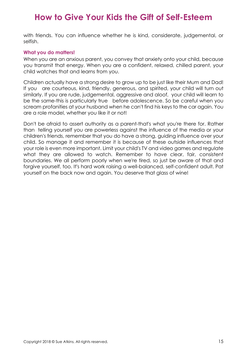with friends. You can influence whether he is kind, considerate, judgemental, or selfish.

#### **What you do matters!**

When you are an anxious parent, you convey that anxiety onto your child, because you transmit that energy. When you are a confident, relaxed, chilled parent, your child watches that and learns from you.

Children actually have a strong desire to grow up to be just like their Mum and Dad! If you are courteous, kind, friendly, generous, and spirited, your child will turn out similarly. If you are rude, judgemental, aggressive and aloof, your child will learn to be the same-this is particularly true before adolescence. So be careful when you scream profanities at your husband when he can't find his keys to the car again. You are a role model, whether you like it or not!

Don't be afraid to assert authority as a parent-that's what you're there for. Rather than telling yourself you are powerless against the influence of the media or your children's friends, remember that you do have a strong, guiding influence over your child. So manage it and remember it is because of these outside influences that your role is even more important. Limit your child's TV and video games and regulate what they are allowed to watch. Remember to have clear, fair, consistent boundaries. We all perform poorly when we're tired, so just be aware of that and forgive yourself, too. It's hard work raising a well-balanced, self-confident adult. Pat yourself on the back now and again. You deserve that glass of wine!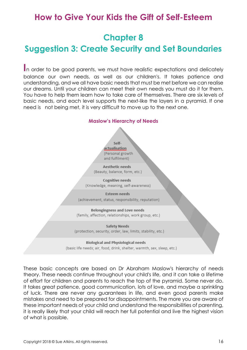# **Chapter 8 Suggestion 3: Create Security and Set Boundaries**

In order to be good parents, we must have realistic expectations and delicately balance our own needs, as well as our children's. It takes patience and understanding, and we all have basic needs that must be met before we can realise our dreams. Until your children can meet their own needs you must do it for them. You have to help them learn how to take care of themselves. There are six levels of basic needs, and each level supports the next-like the layers in a pyramid. If one need is not being met, it is very difficult to move up to the next one.

#### **Maslow's Hierarchy of Needs**

Self-

actualisation (Personal growth

and fulfilment)

**Aesthetic needs** (Beauty, balance, form, etc.)

**Cognitive needs** (Knowledge, meaning, self-awareness)

**Esteem needs** (achievement, status, responsibility, reputation)

**Belongingness and Love needs** (family, affection, relationships, work group, etc.)

**Safety Needs** (protection, security, order, law, limits, stability, etc.)

**Biological and Physiological needs** (basic life needs; air, food, drink, shelter, warmth, sex, sleep, etc.)

These basic concepts are based on Dr Abraham Maslow's hierarchy of needs theory. These needs continue throughout your child's life, and it can take a lifetime of effort for children and parents to reach the top of the pyramid. Some never do. It takes great patience, good communication, lots of love, and maybe a sprinkling of luck. There are never any guarantees in life, and even good parents make mistakes and need to be prepared for disappointments. The more you are aware of these important needs of your child and understand the responsibilities of parenting, it is really likely that your child will reach her full potential and live the highest vision of what is possible.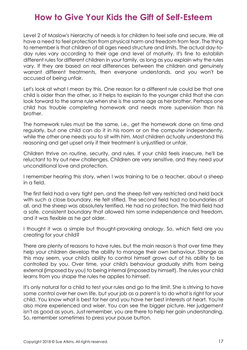Level 2 of Maslow's hierarchy of needs is for children to feel safe and secure. We all have a need to feel protection from physical harm and freedom from fear. The thing to remember is that children of all ages need structure and limits. The actual day-today rules vary according to their age and level of maturity. It's fine to establish different rules for different children in your family, as long as you explain why the rules vary. If they are based on real differences between the children and genuinely warrant different treatments, then everyone understands, and you won't be accused of being unfair.

Let's look at what I mean by this. One reason for a different rule could be that one child is older than the other, so it helps to explain to the younger child that she can look forward to the same rule when she is the same age as her brother. Perhaps one child has trouble completing homework and needs more supervision than his brother.

The homework rules must be the same, i.e., get the homework done on time and regularly, but one child can do it in his room or on the computer independently, while the other one needs you to sit with him. Most children actually understand this reasoning and get upset only if their treatment is unjustified or unfair.

Children thrive on routine, security, and rules. If your child feels insecure, he'll be reluctant to try out new challenges. Children are very sensitive, and they need your unconditional love and protection.

I remember hearing this story, when I was training to be a teacher, about a sheep in a field.

The first field had a very tight pen, and the sheep felt very restricted and held back with such a close boundary. He felt stifled. The second field had no boundaries at all, and the sheep was absolutely terrified. He had no protection. The third field had a safe, consistent boundary that allowed him some independence and freedom, and it was flexible as he got older.

I thought it was a simple but thought-provoking analogy. So, which field are you creating for your child?

There are plenty of reasons to have rules, but the main reason is that over time they help your children develop the ability to manage their own behaviour. Strange as this may seem, your child's ability to control himself grows out of his ability to be controlled by you. Over time, your child's behaviour gradually shifts from being external {imposed by you) to being internal {imposed by himself). The rules your child learns from you shape the rules he applies to himself.

It's only natural for a child to test your rules and go to the limit. She is striving to have some control over her own life, but your job as a parent is to do what is right for your child. You know what is best for her and you have her best interests at heart. You're also more experienced and wiser. You can see the bigger picture. Her judgement isn't as good as yours. Just remember, you are there to help her gain understanding. So, remember sometimes to press your pause button.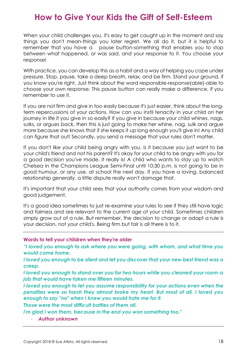When your child challenges you, it's easy to get caught up in the moment and say things you don't mean-things you later regret. We all do it, but it is helpful to remember that you have a pause button-something that enables you to stop between what happened, or was said, and your response to it. You choose your response!

With practice, you can develop this as a habit and a way of helping you cope under pressure. Stop, pause, take a deep breath, relax, and be firm. Stand your ground, if you know you're right. Just think about the word responsible-response(able)-able to choose your own response. This pause button can really make a difference, if you remember to use it.

If you are not firm and give in too easily because it's just easier, think about the longterm repercussions of your actions. How can you instil tenacity in your child on her journey in life if you give in so easily? If you give in because your child whines, nags, sulks, or argues back, then this is just going to make her whine, nag, sulk and argue more because she knows that if she keeps it up long enough you'll give in! Any child can figure that out! Secondly, you send a message that your rules don't matter.

If you don't like your child being angry with you, is it because you just want to be your child's friend and not his parent? It's okay for your child to be angry with you for a good decision you've made. It really is! A child who wants to stay up to watch Chelsea in the Champions League Semi-Final until 10:30 p.m. is not going to be in good humour, or any use, at school the next day. If you have a loving, balanced relationship generally, a little dispute really won't damage that.

It's important that your child sees that your authority comes from your wisdom and good judgement.

It's a good idea sometimes to just re-examine your rules to see if they still have logic and fairness and are relevant to the current age of your child. Sometimes children simply grow out of a rule. But remember, the decision to change or adapt a rule is your decision, not your child's. Being firm but fair is all there is to it.

#### **Words to tell your children when they're older**

*"I loved you enough to ask where you were going, with whom, and what time you would come home.*

*I loved you enough to be silent and let you discover that your new best friend was a creep.*

*I loved you enough to stand over you for two hours while you cleaned your room-a job that would have taken me fifteen minutes.*

*I loved you enough to let you assume responsibility for your actions even when the penalties were so harsh they almost broke my heart. But most of all, I loved you enough to say "no" when I knew you would hate me for it.*

*Those were the most difficult battles of them all.*

*I'm glad I won them, because in the end you won something too."*

- *Author unknown*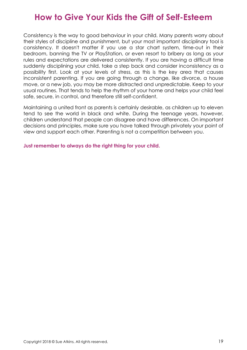Consistency is the way to good behaviour in your child. Many parents worry about their styles of discipline and punishment, but your most important disciplinary tool is consistency. It doesn't matter if you use a star chart system, time-out in their bedroom, banning the TV or PlayStation, or even resort to bribery as long as your rules and expectations are delivered consistently. If you are having a difficult time suddenly disciplining your child, take a step back and consider inconsistency as a possibility first. Look at your levels of stress, as this is the key area that causes inconsistent parenting. If you are going through a change, like divorce, a house move, or a new job, you may be more distracted and unpredictable. Keep to your usual routines. That tends to help the rhythm of your home and helps your child feel safe, secure, in control, and therefore still self-confident.

Maintaining a united front as parents is certainly desirable, as children up to eleven tend to see the world in black and white. During the teenage years, however, children understand that people can disagree and have differences. On important decisions and principles, make sure you have talked through privately your point of view and support each other. Parenting is not a competition between you.

**Just remember to always do the right thing for your child.**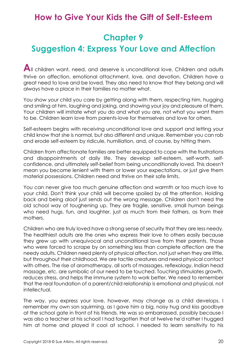# **Chapter 9 Suggestion 4: Express Your Love and Affection**

All children want, need, and deserve is unconditional love. Children and adults thrive on affection, emotional attachment, love, and devotion. Children have a great need to love and be loved. They also need to know that they belong and will always have a place in their families no matter what.

You show your child you care by getting along with them, respecting him, hugging and smiling at him, laughing and joking, and showing your joy and pleasure of them. Your children will imitate what you do and what you are, not what you want them to be. Children learn love from parents-love for themselves and love for others.

Self-esteem begins with receiving unconditional love and support and letting your child know that she is normal, but also different and unique. Remember you can rob and erode self-esteem by ridicule, humiliation, and, of course, by hitting them.

Children from affectionate families are better equipped to cope with the frustrations and disappointments of daily life. They develop self-esteem, self-worth, selfconfidence, and ultimately self-belief from being unconditionally loved. This doesn't mean you become lenient with them or lower your expectations, or just give them material possessions. Children need and thrive on their safe limits.

You can never give too much genuine affection and warmth or too much love to your child. Don't think your child will become spoiled by all the attention. Holding back and being aloof just sends out the wrong message. Children don't need the old school way of toughening up. They are fragile, sensitive, small human beings who need hugs, fun, and laughter, just as much from their fathers, as from their mothers.

Children who are truly loved have a strong sense of security that they are less needy. The healthiest adults are the ones who express their love to others easily because they grew up with unequivocal and unconditional love from their parents. Those who were forced to scrape by on something less than complete affection are the needy adults. Children need plenty of physical affection, not just when they are little, but throughout their childhood. We are tactile creatures and need physical contact with others. The rise of aromatherapy, all sorts of massages, reflexology, Indian head massage, etc. are symbolic of our need to be touched. Touching stimulates growth, reduces stress, and helps the immune system to work better. We need to remember that the real foundation of a parent/child relationship is emotional and physical, not intellectual.

The way, you express your love, however, may change as a child develops. I remember my own son squirming, as I gave him a big, noisy hug and kiss goodbye at the school gate in front of his friends. He was so embarrassed, possibly because I was also a teacher at his school! I had forgotten that at twelve he'd rather I hugged him at home and played it cool at school. I needed to learn sensitivity to his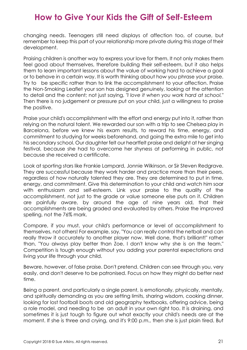changing needs. Teenagers still need displays of affection too, of course, but remember to keep this part of your relationship more private during this stage of their development.

Praising children is another way to express your love for them. It not only makes them feel good about themselves, therefore building their self-esteem, but it also helps them to learn important lessons about the value of working hard to achieve a goal or to behave in a certain way. It is worth thinking about how you phrase your praise. Try to be specific rather than to link the accomplishment to your affection. Praise the Non-Smoking Leaflet your son has designed genuinely, looking at the attention to detail and the content; not just saying, *"I love it when you work hard at school."* Then there is no judgement or pressure put on your child, just a willingness to praise the positive.

Praise your child's accomplishment with the effort and energy put into it, rather than relying on the natural talent. We rewarded our son with a trip to see Chelsea play in Barcelona, before we knew his exam results, to reward his time, energy, and commitment to studying for weeks beforehand, and going the extra mile to get into his secondary school. Our daughter felt our heartfelt praise and delight at her singing festival, because she had to overcome her shyness at performing in public, not because she received a certificate.

Look at sporting stars like Frankie Lampard, Jonnie Wilkinson, or Sir Steven Redgrave. They are successful because they work harder and practice more than their peers, regardless of how naturally talented they are. They are determined to put in time, energy, and commitment. Give this determination to your child and watch him soar with enthusiasm and self-esteem. Link your praise to the quality of the accomplishment, not just to the grade or value someone else puts on it. Children are painfully aware, by around the age of nine years old, that their accomplishments are being graded and evaluated by others. Praise the improved spelling, not the 76% mark.

Compare, if you must, your child's performance or level of accomplishment to themselves, not others! For example, say, "You can really control the netball and can really throw it accurately to another player now. Well done, that's brilliant!" rather than, "You always play better than Zoe. I don't know why she is on the team." Competition is tough enough without you adding your parental expectations and living your life through your child.

Beware, however, of false praise. Don't pretend. Children can see through you, very easily, and don't deserve to be patronised. Focus on how they might do better next time.

Being a parent, and particularly a single parent, is emotionally, physically, mentally, and spiritually demanding as you are setting limits, sharing wisdom, cooking dinner, looking for lost football boots and old geography textbooks, offering advice, being a role model, and needing to be an adult in your own right too. It is draining, and sometimes it is just tough to figure out what exactly your child's needs are at the moment. If she is three and crying, and it's 9:00 p.m., then she is just plain tired. But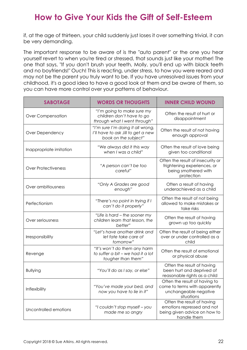if, at the age of thirteen, your child suddenly just loses it over something trivial, it can be very demanding.

The important response to be aware of is the "auto parent" or the one you hear yourself revert to when you're tired or stressed, that sounds just like your mother! The one that says, "If you don't brush your teeth, Molly, you'll end up with black teeth and no boyfriends!" Ouch! This is reacting, under stress, to how you were reared and may not be the parent you truly want to be. If you have unresolved issues from your childhood, it's a good idea to have a good look at them and be aware of them, so you can have more control over your patterns of behaviour.

| <b>SABOTAGE</b>            | <b>WORDS OR THOUGHTS</b><br><b>INNER CHILD WOUND</b>                                            |                                                                                                         |
|----------------------------|-------------------------------------------------------------------------------------------------|---------------------------------------------------------------------------------------------------------|
| <b>Over Compensation</b>   | "I'm going to make sure my<br>children don't have to go<br>through what I went through"         | Often the result of hurt or<br>disappointment                                                           |
| Over Dependency            | "I'm sure I'm doing it all wrong,<br>I'll have to ask Jill to get a new<br>book on the subject" | Often the result of not having<br>enough approval                                                       |
| Inappropriate imitation    | "We always did it this way<br>when I was a child"                                               | Often the result of love being<br>given too conditional                                                 |
| <b>Over Protectiveness</b> | "A person can't be too<br>careful"                                                              | Often the result of insecurity or<br>frightening experiences, or<br>being smothered with<br>protection  |
| Over ambitiousness         | "Only A Grades are good<br>enough"                                                              | Often a result of having<br>underachieved as a child                                                    |
| Perfectionism              | "There's no point in trying if I<br>can't do it properly"                                       | Often the result of not being<br>allowed to make mistakes or<br>take risks                              |
| Over seriousness           | "Life is hard - the sooner my<br>children learn that lesson, the<br>better"                     | Often the result of having<br>grown up too quickly                                                      |
| Irresponsibility           | "Let's have another drink and<br>let fate take care of<br>tomorrow"                             | Often the result of being either<br>over or under controlled as a<br>child                              |
| Revenge                    | "It's won't do them any harm<br>to suffer a bit - we had it a lot<br>tougher than them"         | Often the result of emotional<br>or physical abuse                                                      |
| <b>Bullying</b>            | "You'll do as I say, or else"                                                                   | Often the result of having<br>been hurt and deprived of<br>reasonable rights as a child                 |
| Inflexibility              | "You've made your bed, and<br>now you have to lie in it"                                        | Often the result of having to<br>come to terms with apparently<br>unchangeable negative<br>situations   |
| Uncontrolled emotions      | "I couldn't stop myself - you<br>made me so angry                                               | Often the result of having<br>emotions repressed and not<br>being given advice on how to<br>handle them |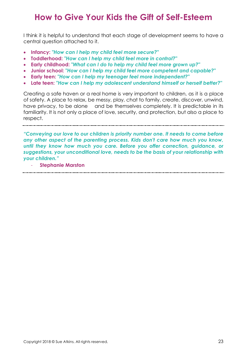I think it is helpful to understand that each stage of development seems to have a central question attached to it.

- **Infancy:** *"How can I help my child feel more secure?"*
- **Toddlerhood:** *"How can I help my child feel more in control?"*
- **Early childhood:** *"What can I do to help my child feel more grown up?"*
- **Junior school:** *"How can I help my child feel more competent and capable?"*
- **Early teen:** *"How can I help my teenager feel more independent?"*
- **Late teen:** *"How can I help my adolescent understand himself or herself better?"*

Creating a safe haven or a real home is very important to children, as it is a place of safety. A place to relax, be messy, play, chat to family, create, discover, unwind, have privacy, to be alone and be themselves completely. It is predictable in its familiarity. It is not only a place of love, security, and protection, but also a place to respect.

*"Conveying our love to our children is priority number one. It needs to come before any other aspect of the parenting process. Kids don't care how much you know, until they know how much you care. Before you offer correction, guidance, or suggestions, your unconditional love, needs to be the basis of your relationship with your children."*

- **Stephanie Marston**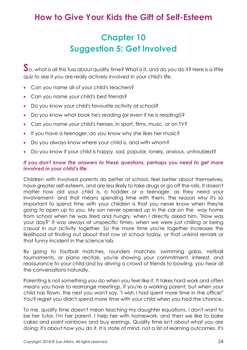# **Chapter 10 Suggestion 5: Get lnvolved**

 $\mathbf S$ o, what is all this fuss about quality time? What is it, and do you do it? Here is a little quiz to see if you are really actively involved in your child's life.

- Can you name all of your child's teachers?
- Can you name your child's best friends?
- Do you know your child's favourite activity at school?
- Do you know what book he's reading {or even if he is reading!)?
- Can you name your child's heroes, in sport, films, music, or on TV?
- If you have a teenager, do you know why she likes her music?
- Do you always know where your child is, and with whom?
- Do you know if your child is happy, sad, popular, lonely, anxious, untroubled?

#### *If you don't know the answers to these questions, perhaps you need to get more involved in your child's life.*

Children with involved parents do better at school, feel better about themselves, have greater self-esteem, and are less likely to take drugs or go off the rails. It doesn't matter how old your child is, a toddler or a teenager, as they need your involvement- and that means spending time with them. The reason why it's so important to spend time with your children is that you never know when they're going to open up to you. My son never opened up in the car on the way home from school when he was tired and hungry, when I directly asked him, "How was your day?" It was always at unspecific times, when we were just chilling or being casual in our activity together. So the more time you're together increases the likelihood of finding out about that row at school today, or that unkind remark or that funny incident in the science lab.

By going to football matches, rounders matches, swimming galas, netball tournaments, or piano recitals, you're showing your commitment, interest, and reassurance to your child-and by driving a crowd of friends to bowling, you hear all the conversations naturally.

Parenting is not something you do when you feel like it. It takes hard work and often means you have to rearrange meetings, if you're a working parent; but when your child has flown, the nest you won't say, "I wish I had spent more time in the office!" You'll regret you didn't spend more time with your child when you had the chance.

To me, quality time doesn't mean teaching my daughter equations. I don't want to be her tutor. I'm her parent. I help her with homework, and then we like to bake cakes and paint rainbows and buy earrings. Quality time isn't about what you are doing; it's about how you do it. It is state of mind, not a list of learning outcomes. It's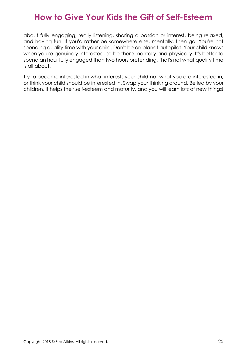about fully engaging, really listening, sharing a passion or interest, being relaxed, and having fun. If you'd rather be somewhere else, mentally, then go! You're not spending quality time with your child. Don't be on planet autopilot. Your child knows when you're genuinely interested, so be there mentally and physically. It's better to spend an hour fully engaged than two hours pretending. That's not what quality time is all about.

Try to become interested in what interests your child-not what you are interested in, or think your child should be interested in. Swap your thinking around. Be led by your children. It helps their self-esteem and maturity, and you will learn lots of new things!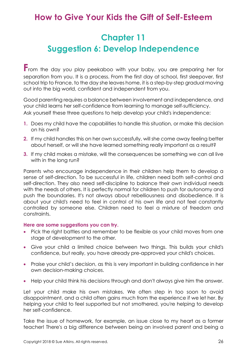# **Chapter 11 Suggestion 6: Develop lndependence**

**F**rom the day you play peekaboo with your baby, you are preparing her for separation from you. It is a process. From the first day at school, first sleepover, first school trip to France, to the day she leaves home, it is a step-by-step gradual moving out into the big world, confident and independent from you.

Good parenting requires a balance between involvement and independence, and your child learns her self-confidence from learning to manage self-sufficiency. Ask yourself these three questions to help develop your child's independence:

- **1.** Does my child have the capabilities to handle this situation, or make this decision on his own?
- **2.** If my child handles this on her own successfully, will she come away feeling better about herself, or will she have learned something really important as a result?
- **3.** If my child makes a mistake, will the consequences be something we can all live with in the long run?

Parents who encourage independence in their children help them to develop a sense of self-direction. To be successful in life, children need both self-control and self-direction. They also need self-discipline to balance their own individual needs with the needs of others. It is perfectly normal for children to push for autonomy and push the boundaries. It's not always about rebelliousness and disobedience. It is about your child's need to feel in control of his own life and not feel constantly controlled by someone else. Children need to feel a mixture of freedom and constraints.

#### **Here are some suggestions you can try.**

- Pick the right battles and remember to be flexible as your child moves from one stage of development to the other.
- Give your child a limited choice between two things. This builds your child's confidence, but really, you have already pre-approved your child's choices.
- Praise your child's decision, as this is very important in building confidence in her own decision-making choices.
- Help your child think his decisions through and don't always give him the answer.

Let your child make his own mistakes. We often step in too soon to avoid disappointment, and a child often gains much from the experience if we let her. By helping your child to feel supported but not smothered, you're helping to develop her self-confidence.

Take the issue of homework, for example, an issue close to my heart as a former teacher! There's a big difference between being an involved parent and being a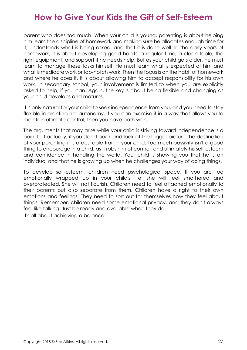parent who does too much. When your child is young, parenting is about helping him learn the discipline of homework and making sure he allocates enough time for it, understands what is being asked, and that it is done well. In the early years of homework, it is about developing good habits, a regular time, a clean table, the right equipment, and support if he needs help. But as your child gets older, he must learn to manage these tasks himself. He must learn what is expected of him and what is mediocre work or top-notch work. Then the focus is on the habit of homework and where he does it. It is about allowing him to accept responsibility for his own work. In secondary school, your involvement is limited to when you are explicitly asked to help, if you can. Again, the key is about being flexible and changing as your child develops and matures.

It is only natural for your child to seek independence from you, and you need to stay flexible in granting her autonomy. If you can exercise it in a way that allows you to maintain ultimate control, then you have both won.

The arguments that may arise while your child is striving toward independence is a pain, but actually, if you stand back and look at the bigger picture-the destination of your parenting-it is a desirable trait in your child. Too much passivity isn't a good thing to encourage in a child, as it robs him of control, and ultimately his self-esteem and confidence in handling the world. Your child is showing you that he is an individual and that he is growing up when he challenges your way of doing things.

To develop self-esteem, children need psychological space. If you are too emotionally wrapped up in your child's life, she will feel smothered and overprotected. She will not flourish. Children need to feel attached emotionally to their parents but also separate from them. Children have a right to their own emotions and feelings. They need to sort out for themselves how they feel about things. Remember, children need some emotional privacy, and they don't always feel like talking. Just be ready and available when they do. It's all about achieving a balance!

Copyright 2018 © Sue Atkins. All rights reserved. 27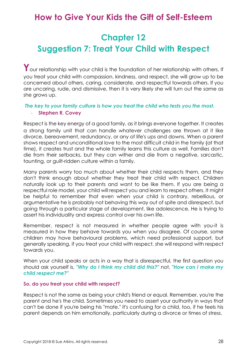# **Chapter 12 Suggestion 7: Treat Your Child with Respect**

Your relationship with your child is the foundation of her relationship with others. If you treat your child with compassion, kindness, and respect, she will grow up to be concerned about others, caring, considerate, and respectful towards others. If you are uncaring, rude, and dismissive, then it is very likely she will turn out the same as she grows up.

#### *The key to your family culture is how you treat the child who tests you the most.*

#### - **Stephen R. Covey**

Respect is the key energy of a good family, as it brings everyone together. It creates a strong family unit that can handle whatever challenges are thrown at it like divorce, bereavement, redundancy, or any of life's ups and downs. When a parent shows respect and unconditional love to the most difficult child in the family {at that time), it creates trust and the whole family learns this culture as well. Families don't die from their setbacks, but they can wither and die from a negative, sarcastic, taunting, or guilt-ridden culture within a family.

Many parents worry too much about whether their child respects them, and they don't think enough about whether they treat their child with respect. Children naturally look up to their parents and want to be like them. If you are being a respectful role model, your child will respect you and learn to respect others. It might be helpful to remember that even when your child is contrary, rebellious, or argumentative he is probably not behaving this way out of spite and disrespect, but going through a particular stage of development, like adolescence. He is trying to assert his individuality and express control over his own life.

Remember, respect is not measured in whether people agree with you-it is measured in how they behave towards you when you disagree. Of course, some children may have behavioural problems, which need professional support, but generally speaking, if you treat your child with respect, she will respond with respect towards you.

When your child speaks or acts in a way that is disrespectful, the first question you should ask yourself is, *"Why do I think my child did this?"* not, *"How can I make my child respect me?"*

#### **So, do you treat your child with respect?**

Respect is not the same as being your child's friend or equal. Remember, you're the parent and he's the child. Sometimes you need to assert your authority in ways that can't be done if you're being his "mate." It's confusing for a child, too, if he feels his parent depends on him emotionally, particularly during a divorce or times of stress.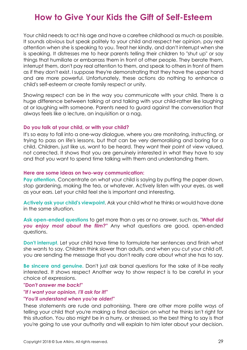Your child needs to act his age and have a carefree childhood as much as possible. It sounds obvious but speak politely to your child and respect her opinion, pay real attention when she is speaking to you. Treat her kindly, and don't interrupt when she is speaking. It distresses me to hear parents telling their children to "shut up" or say things that humiliate or embarrass them in front of other people. They berate them, interrupt them, don't pay real attention to them, and speak to others in front of them as if they don't exist. I suppose they're demonstrating that they have the upper hand and are more powerful. Unfortunately, these actions do nothing to enhance a child's self-esteem or create family respect or unity.

Showing respect can be in the way you communicate with your child. There is a huge difference between talking at and talking with your child-rather like laughing at or laughing with someone. Parents need to guard against the conversation that always feels like a lecture, an inquisition or a nag.

#### **Do you talk at your child, or with your child?**

It's so easy to fall into a one-way dialogue, where you are monitoring, instructing, or trying to pass on life's lessons, but that can be very demoralising and boring for a child. Children, just like us, want to be heard. They want their point of view valued, not corrected. It shows that you are genuinely interested in what they have to say and that you want to spend time talking with them and understanding them.

#### **Here are some ideas on two-way communication:**

**Pay attention.** Concentrate on what your child is saying by putting the paper down, stop gardening, making the tea, or whatever. Actively listen with your eyes, as well as your ears. Let your child feel she is important and interesting.

**Actively ask your child's viewpoint**. Ask your child what he thinks or would have done in the same situation.

**Ask open-ended questions** to get more than a yes or no answer, such as, *"What did you enjoy most about the film?"* Any what questions are good, open-ended questions.

**Don't interrupt.** Let your child have time to formulate her sentences and finish what she wants to say. Children think slower than adults, and when you cut your child off, you are sending the message that you don't really care about what she has to say.

**Be sincere and genuine.** Don't just ask banal questions for the sake of it-be really interested. It shows respect Another way to show respect is to be careful in your choice of expressions.

#### *"Don't answer me back!"*

#### *"If I want your opinion, I'll ask for it!"*

#### *"You'll understand when you're older!"*

These statements are rude and patronising. There are other more polite ways of telling your child that you're making a final decision on what he thinks isn't right for this situation. You also might be in a hurry, or stressed, so the best thing to say is that you're going to use your authority and will explain to him later about your decision.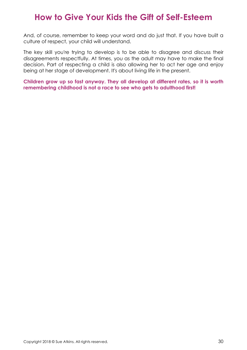And, of course, remember to keep your word and do just that. If you have built a culture of respect, your child will understand.

The key skill you're trying to develop is to be able to disagree and discuss their disagreements respectfully. At times, you as the adult may have to make the final decision. Part of respecting a child is also allowing her to act her age and enjoy being at her stage of development. It's about living life in the present.

**Children grow up so fast anyway. They all develop at different rates, so it is worth remembering childhood is not a race to see who gets to adulthood first!**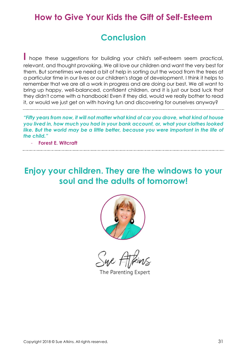### **Conclusion**

**I** hope these suggestions for building your child's self-esteem seem practical, relevant, and thought provoking. We all love our children and want the very best for them. But sometimes we need a bit of help in sorting out the wood from the trees at a particular time in our lives or our children's stage of development. I think it helps to remember that we are all a work in progress and are doing our best. We all want to bring up happy, well-balanced, confident children, and it is just our bad luck that they didn't come with a handbook! Even if they did, would we really bother to read it, or would we just get on with having fun and discovering for ourselves anyway?

*"Fifty years from now, it will not matter what kind of car you drove, what kind of house you lived in, how much you had in your bank account, or, what your clothes looked like. But the world may be a little better, because you were important in the life of the child."*

- **Forest E. Witcraft** 

**Enjoy your children. They are the windows to your soul and the adults of tomorrow!**



The Parenting Expert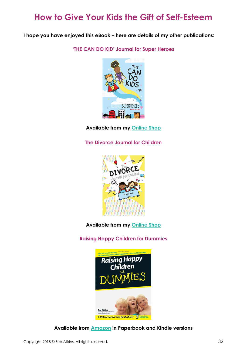**I hope you have enjoyed this eBook – here are details of my other publications:** 

**'THE CAN DO KID' Journal for Super Heroes**



**Available from my [Online Shop](https://sueatkinsparentingcoach.com/product/the-can-do-kid-journal-for-super-heroes/)**

**The Divorce Journal for Children**



**Available from my [Online Shop](https://sueatkinsparentingcoach.com/product/the-divorce-journal-for-kids/)**

#### **Raising Happy Children for Dummies**



**Available from [Amazon](https://www.amazon.co.uk/Raising-Happy-Children-Dummies-Atkins/dp/0470059788/ref=nodl_?) in Paperbook and Kindle versions**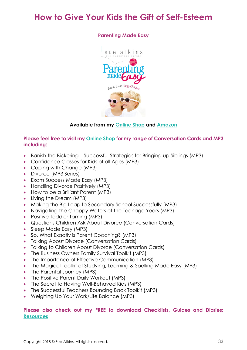#### **Parenting Made Easy**



#### **Available from my [Online Shop](https://sueatkinsparentingcoach.com/product/parenting-made-easy-how-to-raise-happy-children-paperback/) and [Amazon](https://www.amazon.co.uk/gp/product/0091940044)**

#### **Please feel free to visit my [Online Shop](https://sueatkinsparentingcoach.com/shop/) for my range of Conversation Cards and MP3 including:**

- Banish the Bickering Successful Strategies for Bringing up Siblings (MP3)
- Confidence Classes for Kids of all Ages (MP3)
- Coping with Change (MP3)
- Divorce (MP3 Series)
- Exam Success Made Easy (MP3)
- Handling Divorce Positively (MP3)
- How to be a Brilliant Parent (MP3)
- Living the Dream (MP3)
- Making the Big Leap to Secondary School Successfully (MP3)
- Navigating the Choppy Waters of the Teenage Years (MP3)
- Positive Toddler Taming (MP3)
- Questions Children Ask About Divorce (Conversation Cards)
- Sleep Made Easy (MP3)
- So, What Exactly is Parent Coaching? (MP3)
- Talking About Divorce (Conversation Cards)
- Talking to Children About Divorce (Conversation Cards)
- The Business Owners Family Survival Toolkit (MP3)
- The Importance of Effective Communication (MP3)
- The Magical Toolkit of Studying, Learning & Spelling Made Easy (MP3)
- The Parental Journey (MP3)
- The Positive Parent Daily Workout (MP3)
- The Secret to Having Well-Behaved Kids (MP3)
- The Successful Teachers Bouncing Back Toolkit (MP3)
- Weighing Up Your Work/Life Balance (MP3)

#### **Please also check out my FREE to download Checklists, Guides and Diaries: [Resources](https://sueatkinsparentingcoach.com/resources/)**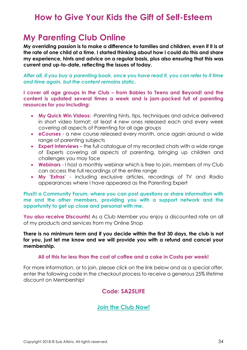### **My Parenting Club Online**

**My overriding passion is to make a difference to families and children, even if it is at the rate of one child at a time. I started thinking about how I could do this and share my experience, hints and advice on a regular basis, plus also ensuring that this was current and up-to-date, reflecting the issues of today.** 

*After all, if you buy a parenting book, once you have read it, you can refer to it time and time again, but the content remains static.* 

**I cover all age groups in the Club – from Babies to Teens and Beyond! and the content is updated several times a week and is jam-packed full of parenting resources for you including:**

- **My Quick Win Videos:** -Parenting hints, tips, techniques and advice delivered in short video format; at least 4 new ones released each and every week covering all aspects of Parenting for all age groups
- **eCourses** a new course released every month, once again around a wide range of parenting subjects
- **Expert Interviews** the full catalogue of my recorded chats with a wide range of Experts covering all aspects of parenting, bringing up children and challenges you may face
- **Webinars**  I host a monthly webinar which is free to join, members of my Club can access the full recordings of the entire range
- **My 'Extras'** including exclusive articles, recordings of TV and Radio appearances where I have appeared as the Parenting Expert

**Plus!!! a Community Forum, where you can post questions or share information with me and the other members, providing you with a support network and the opportunity to get up close and personal with me.** 

**You also receive Discounts!** As a Club Member you enjoy a discounted rate on all of my products and services from my Online Shop

**There is no minimum term and if you decide within the first 30 days, the club is not for you, just let me know and we will provide you with a refund and cancel your membership.**

#### **All of this for less than the cost of coffee and a cake in Costa per week!**

For more information, or to join, please click on the link below and as a special offer, enter the following code in the checkout process to receive a generous 25% lifetime discount on Membership!

#### **Code: SA25LIFE**

#### **[Join the Club Now!](https://sueatkinsparentingcoach.com/join-today/)**